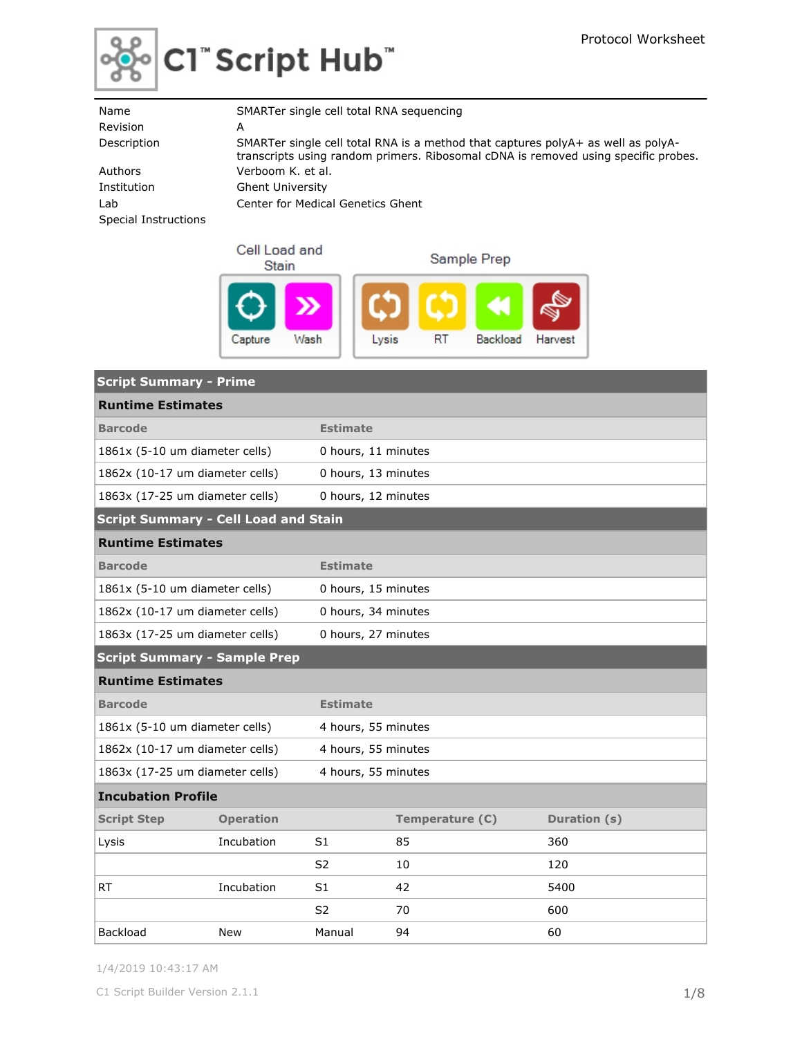

| Name                 | SMARTer single cell total RNA sequencing                                                                                                                               |
|----------------------|------------------------------------------------------------------------------------------------------------------------------------------------------------------------|
| Revision             | A                                                                                                                                                                      |
| Description          | SMARTer single cell total RNA is a method that captures polyA+ as well as polyA-<br>transcripts using random primers. Ribosomal cDNA is removed using specific probes. |
| Authors              | Verboom K. et al.                                                                                                                                                      |
| Institution          | <b>Ghent University</b>                                                                                                                                                |
| Lab                  | Center for Medical Genetics Ghent                                                                                                                                      |
| Special Instructions |                                                                                                                                                                        |

| Cell Load and<br>Stain | Sample Prep |    |          |         |  |
|------------------------|-------------|----|----------|---------|--|
| Wash<br>Capture        | Lysis       | RT | Backload | Harvest |  |

| <b>Script Summary - Prime</b>               |                          |                     |                     |              |  |  |  |  |
|---------------------------------------------|--------------------------|---------------------|---------------------|--------------|--|--|--|--|
|                                             | <b>Runtime Estimates</b> |                     |                     |              |  |  |  |  |
| <b>Barcode</b>                              |                          | <b>Estimate</b>     |                     |              |  |  |  |  |
| 1861x (5-10 um diameter cells)              |                          |                     | 0 hours, 11 minutes |              |  |  |  |  |
| 1862x (10-17 um diameter cells)             |                          | 0 hours, 13 minutes |                     |              |  |  |  |  |
| 1863x (17-25 um diameter cells)             |                          | 0 hours, 12 minutes |                     |              |  |  |  |  |
| <b>Script Summary - Cell Load and Stain</b> |                          |                     |                     |              |  |  |  |  |
| <b>Runtime Estimates</b>                    |                          |                     |                     |              |  |  |  |  |
| <b>Barcode</b>                              |                          | <b>Estimate</b>     |                     |              |  |  |  |  |
| 1861x (5-10 um diameter cells)              |                          | 0 hours, 15 minutes |                     |              |  |  |  |  |
| 1862x (10-17 um diameter cells)             |                          | 0 hours, 34 minutes |                     |              |  |  |  |  |
| 1863x (17-25 um diameter cells)             |                          | 0 hours, 27 minutes |                     |              |  |  |  |  |
| <b>Script Summary - Sample Prep</b>         |                          |                     |                     |              |  |  |  |  |
| <b>Runtime Estimates</b>                    |                          |                     |                     |              |  |  |  |  |
| <b>Barcode</b>                              |                          | <b>Estimate</b>     |                     |              |  |  |  |  |
| 1861x (5-10 um diameter cells)              |                          | 4 hours, 55 minutes |                     |              |  |  |  |  |
| 1862x (10-17 um diameter cells)             |                          | 4 hours, 55 minutes |                     |              |  |  |  |  |
| 1863x (17-25 um diameter cells)             |                          | 4 hours, 55 minutes |                     |              |  |  |  |  |
| <b>Incubation Profile</b>                   |                          |                     |                     |              |  |  |  |  |
| <b>Script Step</b>                          | <b>Operation</b>         |                     | Temperature (C)     | Duration (s) |  |  |  |  |
| Lysis                                       | Incubation               | S1                  | 85                  | 360          |  |  |  |  |
|                                             |                          | S2                  | 10                  | 120          |  |  |  |  |
| <b>RT</b>                                   | Incubation               | S1                  | 42                  | 5400         |  |  |  |  |
|                                             |                          | S <sub>2</sub>      | 70                  | 600          |  |  |  |  |
| Backload                                    | <b>New</b>               | Manual              | 94                  | 60           |  |  |  |  |

1/4/2019 10:43:17 AM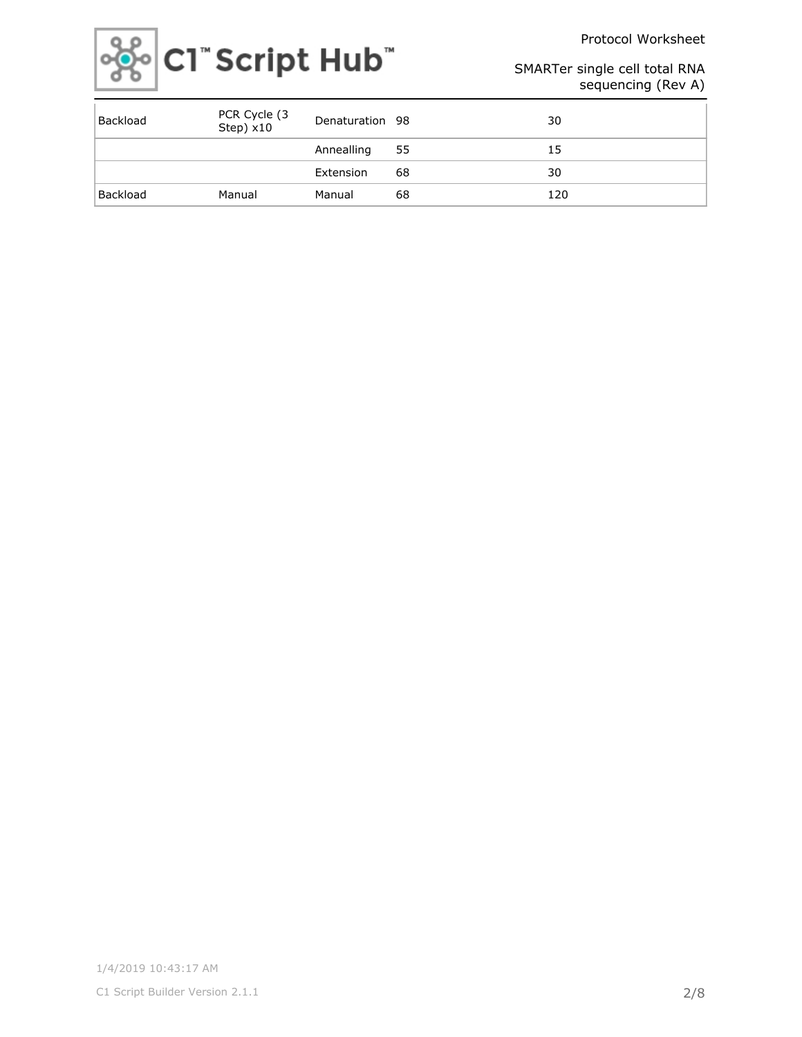Protocol Worksheet



### SMARTer single cell total RNA sequencing (Rev A)

| Backload | PCR Cycle (3<br>Step) x10 | Denaturation 98 |    | 30  |
|----------|---------------------------|-----------------|----|-----|
|          |                           | Annealling      | 55 | 15  |
|          |                           | Extension       | 68 | 30  |
| Backload | Manual                    | Manual          | 68 | 120 |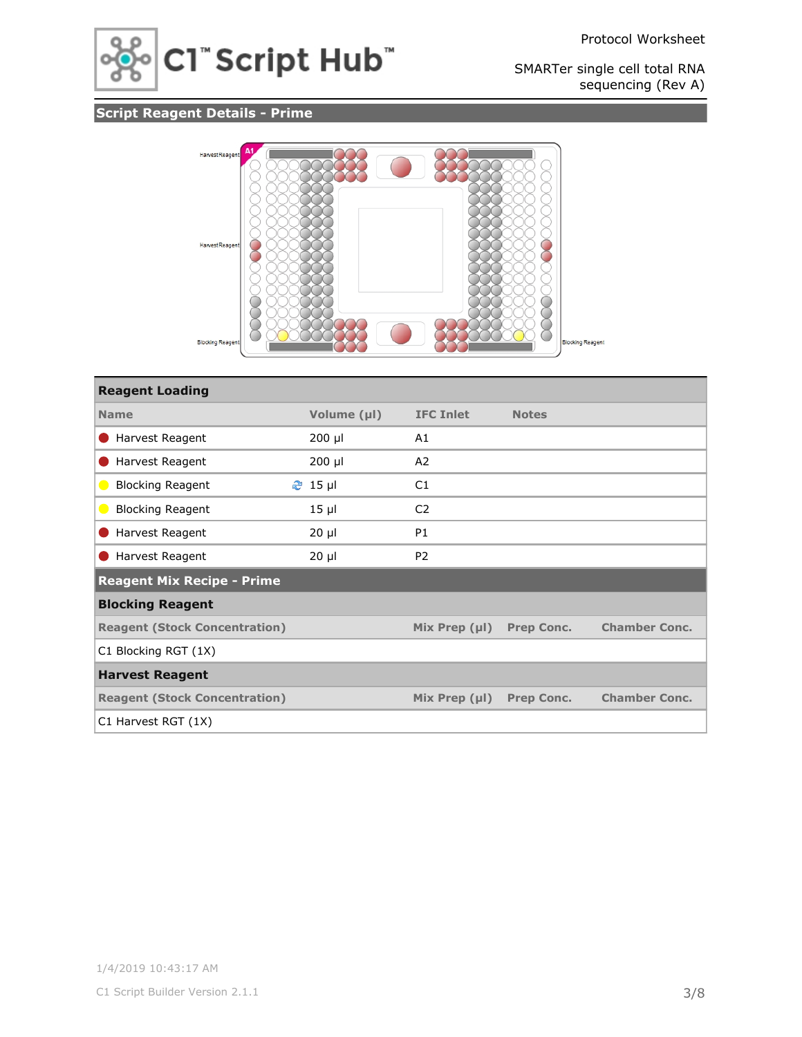

# **Script Reagent Details - Prime**



| <b>Reagent Loading</b>               |             |                    |                   |                      |
|--------------------------------------|-------------|--------------------|-------------------|----------------------|
| <b>Name</b>                          | Volume (µl) | <b>IFC Inlet</b>   | <b>Notes</b>      |                      |
| Harvest Reagent                      | 200 µl      | A1                 |                   |                      |
| Harvest Reagent                      | 200 µl      | A2                 |                   |                      |
| <b>Blocking Reagent</b><br>$\bullet$ | $2$ 15 µ    | C1                 |                   |                      |
| <b>Blocking Reagent</b><br>$\bullet$ | $15 \mu$    | C <sub>2</sub>     |                   |                      |
| Harvest Reagent                      | $20 \mu$    | <b>P1</b>          |                   |                      |
| Harvest Reagent                      | $20 \mu$    | P <sub>2</sub>     |                   |                      |
| <b>Reagent Mix Recipe - Prime</b>    |             |                    |                   |                      |
| <b>Blocking Reagent</b>              |             |                    |                   |                      |
| <b>Reagent (Stock Concentration)</b> |             | Mix Prep $(\mu I)$ | <b>Prep Conc.</b> | <b>Chamber Conc.</b> |
| C1 Blocking RGT (1X)                 |             |                    |                   |                      |
| <b>Harvest Reagent</b>               |             |                    |                   |                      |
| <b>Reagent (Stock Concentration)</b> |             | Mix Prep $(\mu I)$ | <b>Prep Conc.</b> | <b>Chamber Conc.</b> |
| C1 Harvest RGT (1X)                  |             |                    |                   |                      |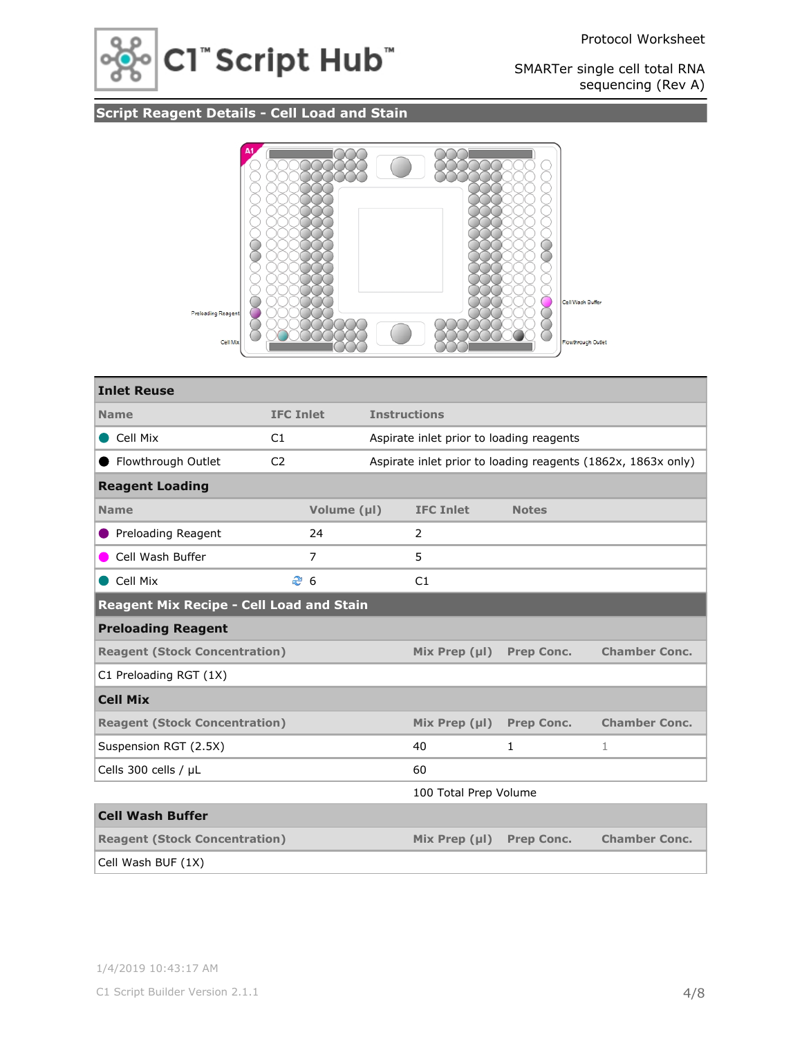



# **Script Reagent Details - Cell Load and Stain**



| <b>Inlet Reuse</b>                              |                  |                   |                     |                                          |                   |                                                              |
|-------------------------------------------------|------------------|-------------------|---------------------|------------------------------------------|-------------------|--------------------------------------------------------------|
| <b>Name</b>                                     | <b>IFC Inlet</b> |                   | <b>Instructions</b> |                                          |                   |                                                              |
| Cell Mix                                        | C1               |                   |                     | Aspirate inlet prior to loading reagents |                   |                                                              |
| Flowthrough Outlet                              | C <sub>2</sub>   |                   |                     |                                          |                   | Aspirate inlet prior to loading reagents (1862x, 1863x only) |
| <b>Reagent Loading</b>                          |                  |                   |                     |                                          |                   |                                                              |
| <b>Name</b>                                     |                  | Volume (µl)       |                     | <b>IFC Inlet</b>                         | <b>Notes</b>      |                                                              |
| Preloading Reagent                              |                  | 24                |                     | 2                                        |                   |                                                              |
| Cell Wash Buffer                                |                  | 7                 |                     | 5                                        |                   |                                                              |
| Cell Mix                                        |                  | <b><u>ී</u></b> 6 |                     | C1                                       |                   |                                                              |
| <b>Reagent Mix Recipe - Cell Load and Stain</b> |                  |                   |                     |                                          |                   |                                                              |
| <b>Preloading Reagent</b>                       |                  |                   |                     |                                          |                   |                                                              |
| <b>Reagent (Stock Concentration)</b>            |                  |                   |                     | Mix Prep $(\mu I)$                       | <b>Prep Conc.</b> | <b>Chamber Conc.</b>                                         |
| C1 Preloading RGT (1X)                          |                  |                   |                     |                                          |                   |                                                              |
| <b>Cell Mix</b>                                 |                  |                   |                     |                                          |                   |                                                              |
| <b>Reagent (Stock Concentration)</b>            |                  |                   |                     | Mix Prep $(\mu I)$                       | <b>Prep Conc.</b> | <b>Chamber Conc.</b>                                         |
| Suspension RGT (2.5X)                           |                  |                   |                     | 40                                       | $\mathbf{1}$      | 1                                                            |
| Cells 300 cells / µL                            |                  |                   |                     | 60                                       |                   |                                                              |
| 100 Total Prep Volume                           |                  |                   |                     |                                          |                   |                                                              |
| <b>Cell Wash Buffer</b>                         |                  |                   |                     |                                          |                   |                                                              |
| <b>Reagent (Stock Concentration)</b>            |                  |                   |                     | Mix Prep $(\mu I)$                       | <b>Prep Conc.</b> | <b>Chamber Conc.</b>                                         |
| Cell Wash BUF (1X)                              |                  |                   |                     |                                          |                   |                                                              |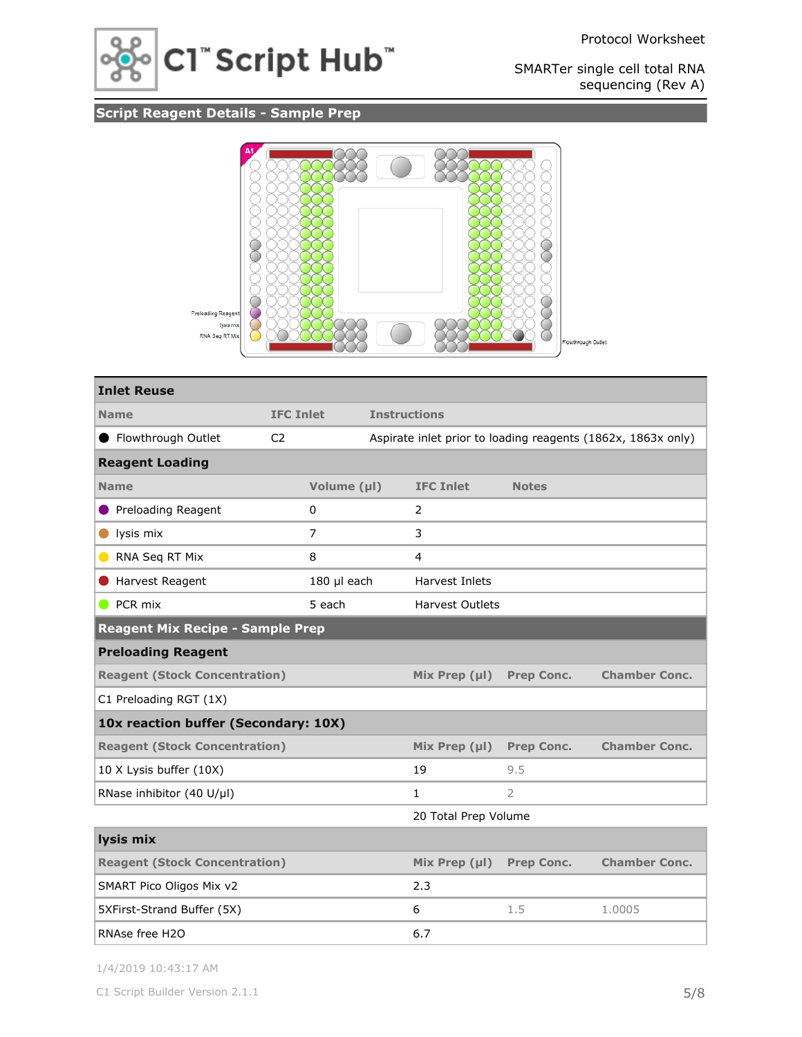

# **Script Reagent Details - Sample Prep**



| <b>Inlet Reuse</b>                      |                  |             |                     |                        |                   |                                                              |
|-----------------------------------------|------------------|-------------|---------------------|------------------------|-------------------|--------------------------------------------------------------|
| <b>Name</b>                             | <b>IFC Inlet</b> |             | <b>Instructions</b> |                        |                   |                                                              |
| ● Flowthrough Outlet                    | C <sub>2</sub>   |             |                     |                        |                   | Aspirate inlet prior to loading reagents (1862x, 1863x only) |
| <b>Reagent Loading</b>                  |                  |             |                     |                        |                   |                                                              |
| <b>Name</b>                             |                  | Volume (µl) |                     | <b>IFC Inlet</b>       | <b>Notes</b>      |                                                              |
| Preloading Reagent<br>$\bullet$         |                  | $\mathbf 0$ |                     | 2                      |                   |                                                              |
| lysis mix<br>$\bullet$                  |                  | 7           |                     | 3                      |                   |                                                              |
| RNA Seq RT Mix<br>$\blacksquare$        |                  | 8           |                     | 4                      |                   |                                                              |
| Harvest Reagent                         | 180 µl each      |             |                     | Harvest Inlets         |                   |                                                              |
| $\bullet$ PCR mix                       |                  | 5 each      |                     | <b>Harvest Outlets</b> |                   |                                                              |
| <b>Reagent Mix Recipe - Sample Prep</b> |                  |             |                     |                        |                   |                                                              |
| <b>Preloading Reagent</b>               |                  |             |                     |                        |                   |                                                              |
| <b>Reagent (Stock Concentration)</b>    |                  |             |                     | Mix Prep $(\mu I)$     | <b>Prep Conc.</b> | <b>Chamber Conc.</b>                                         |
| C1 Preloading RGT (1X)                  |                  |             |                     |                        |                   |                                                              |
| 10x reaction buffer (Secondary: 10X)    |                  |             |                     |                        |                   |                                                              |
| <b>Reagent (Stock Concentration)</b>    |                  |             |                     | Mix Prep $(\mu I)$     | <b>Prep Conc.</b> | <b>Chamber Conc.</b>                                         |
| 10 X Lysis buffer (10X)                 |                  |             |                     | 19                     | 9.5               |                                                              |
| RNase inhibitor (40 U/µl)               |                  |             |                     | $\mathbf{1}$           | $\overline{2}$    |                                                              |
|                                         |                  |             |                     | 20 Total Prep Volume   |                   |                                                              |
| lysis mix                               |                  |             |                     |                        |                   |                                                              |
| <b>Reagent (Stock Concentration)</b>    |                  |             |                     | Mix Prep $(\mu I)$     | Prep Conc.        | <b>Chamber Conc.</b>                                         |
| SMART Pico Oligos Mix v2                |                  |             |                     | 2.3                    |                   |                                                              |
| 5XFirst-Strand Buffer (5X)              |                  |             |                     | 6                      | 1.5               | 1.0005                                                       |
| RNAse free H2O                          |                  |             | 6.7                 |                        |                   |                                                              |

1/4/2019 10:43:17 AM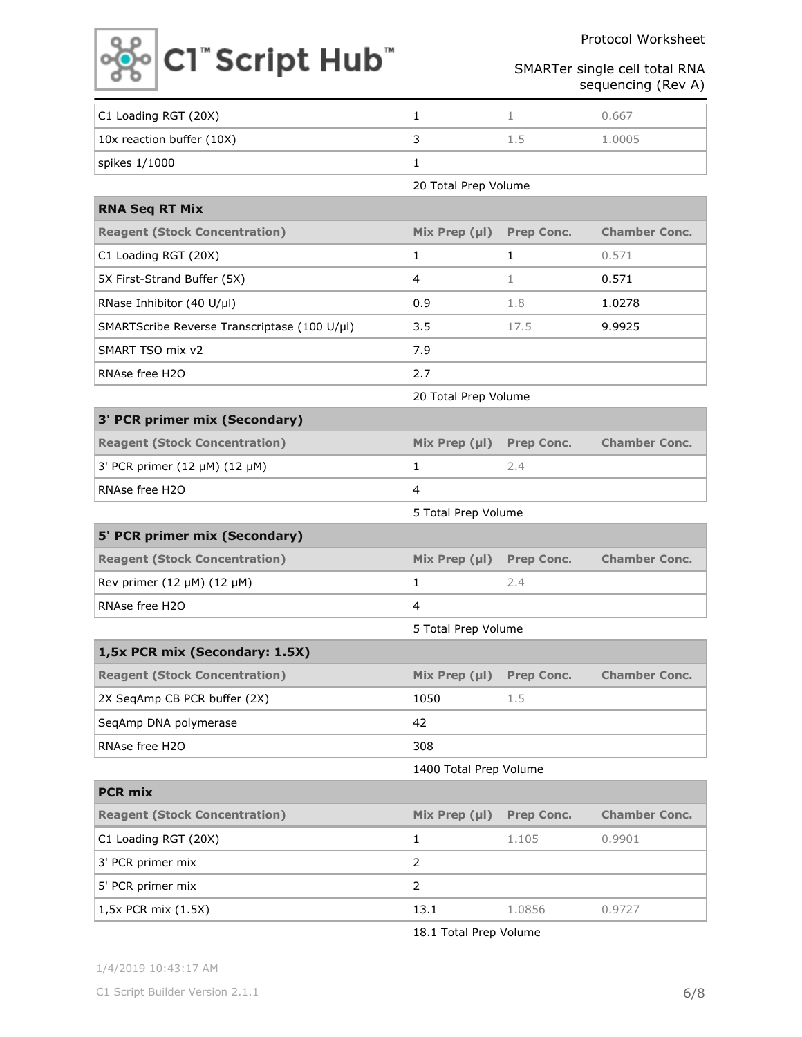Protocol Worksheet



SMARTer single cell total RNA sequencing (Rev A)

| C1 Loading RGT (20X)                         | 1                      | 1                 | 0.667                |
|----------------------------------------------|------------------------|-------------------|----------------------|
| 10x reaction buffer (10X)                    | 3                      | 1.5               | 1.0005               |
| spikes 1/1000                                | 1                      |                   |                      |
|                                              | 20 Total Prep Volume   |                   |                      |
| <b>RNA Seq RT Mix</b>                        |                        |                   |                      |
| <b>Reagent (Stock Concentration)</b>         | Mix Prep $(\mu I)$     | Prep Conc.        | <b>Chamber Conc.</b> |
| C1 Loading RGT (20X)                         | 1                      | 1                 | 0.571                |
| 5X First-Strand Buffer (5X)                  | 4                      | $\mathbf{1}$      | 0.571                |
| RNase Inhibitor (40 U/µl)                    | 0.9                    | 1.8               | 1.0278               |
| SMARTScribe Reverse Transcriptase (100 U/µl) | 3.5                    | 17.5              | 9.9925               |
| SMART TSO mix v2                             | 7.9                    |                   |                      |
| RNAse free H2O                               | 2.7                    |                   |                      |
|                                              | 20 Total Prep Volume   |                   |                      |
| 3' PCR primer mix (Secondary)                |                        |                   |                      |
| <b>Reagent (Stock Concentration)</b>         | Mix Prep $(\mu I)$     | <b>Prep Conc.</b> | <b>Chamber Conc.</b> |
| 3' PCR primer (12 µM) (12 µM)                | $\mathbf{1}$           | 2.4               |                      |
| RNAse free H2O                               | 4                      |                   |                      |
|                                              | 5 Total Prep Volume    |                   |                      |
| 5' PCR primer mix (Secondary)                |                        |                   |                      |
| <b>Reagent (Stock Concentration)</b>         | Mix Prep $(\mu I)$     | <b>Prep Conc.</b> | <b>Chamber Conc.</b> |
| Rev primer (12 $\mu$ M) (12 $\mu$ M)         | 1                      | 2.4               |                      |
| RNAse free H2O                               | 4                      |                   |                      |
|                                              | 5 Total Prep Volume    |                   |                      |
| 1,5x PCR mix (Secondary: 1.5X)               |                        |                   |                      |
| <b>Reagent (Stock Concentration)</b>         | Mix Prep $(\mu I)$     | <b>Prep Conc.</b> | <b>Chamber Conc.</b> |
| 2X SeqAmp CB PCR buffer (2X)                 | 1050                   | 1.5               |                      |
| SeqAmp DNA polymerase                        | 42                     |                   |                      |
| RNAse free H2O                               | 308                    |                   |                      |
|                                              | 1400 Total Prep Volume |                   |                      |
| <b>PCR mix</b>                               |                        |                   |                      |
| <b>Reagent (Stock Concentration)</b>         | Mix Prep (µl)          | <b>Prep Conc.</b> | <b>Chamber Conc.</b> |
| C1 Loading RGT (20X)                         | 1                      | 1.105             | 0.9901               |
| 3' PCR primer mix                            | $\overline{2}$         |                   |                      |
| 5' PCR primer mix                            | $\overline{2}$         |                   |                      |
| 1,5x PCR mix (1.5X)                          | 13.1                   | 1.0856            | 0.9727               |

18.1 Total Prep Volume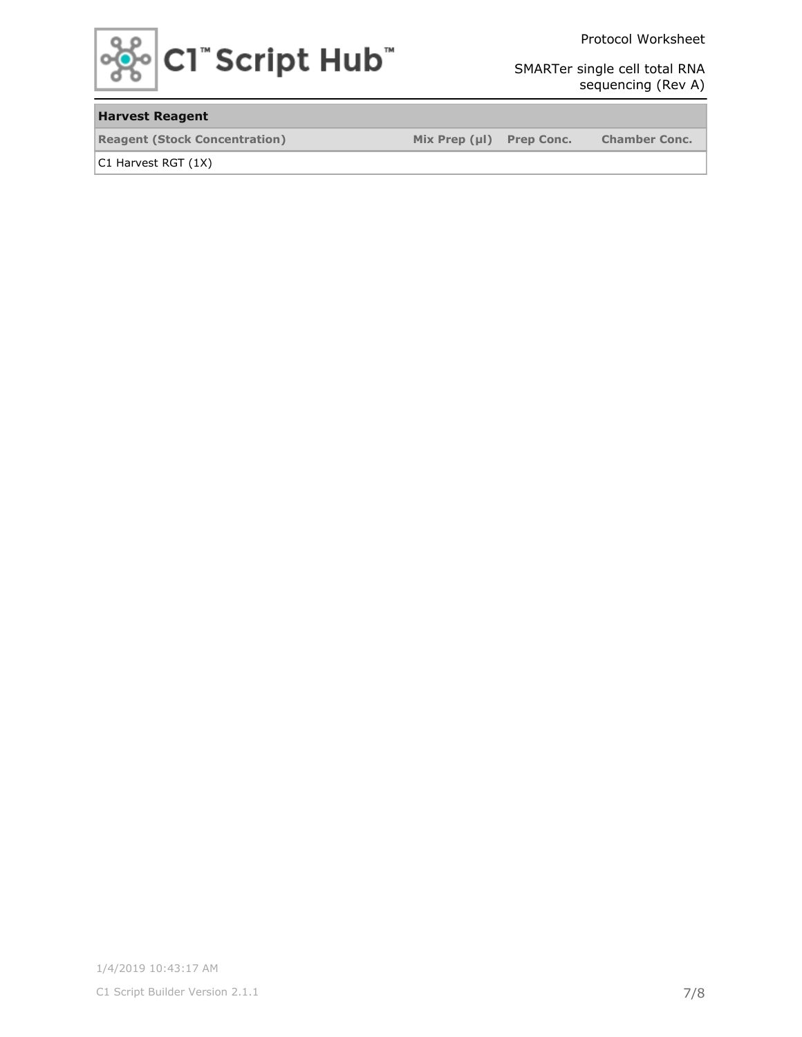

Protocol Worksheet

SMARTer single cell total RNA sequencing (Rev A)

### **Harvest Reagent**

**Reagent (Stock Concentration) Mix Prep (µl) Prep Conc. Chamber Conc.**

C1 Harvest RGT (1X)